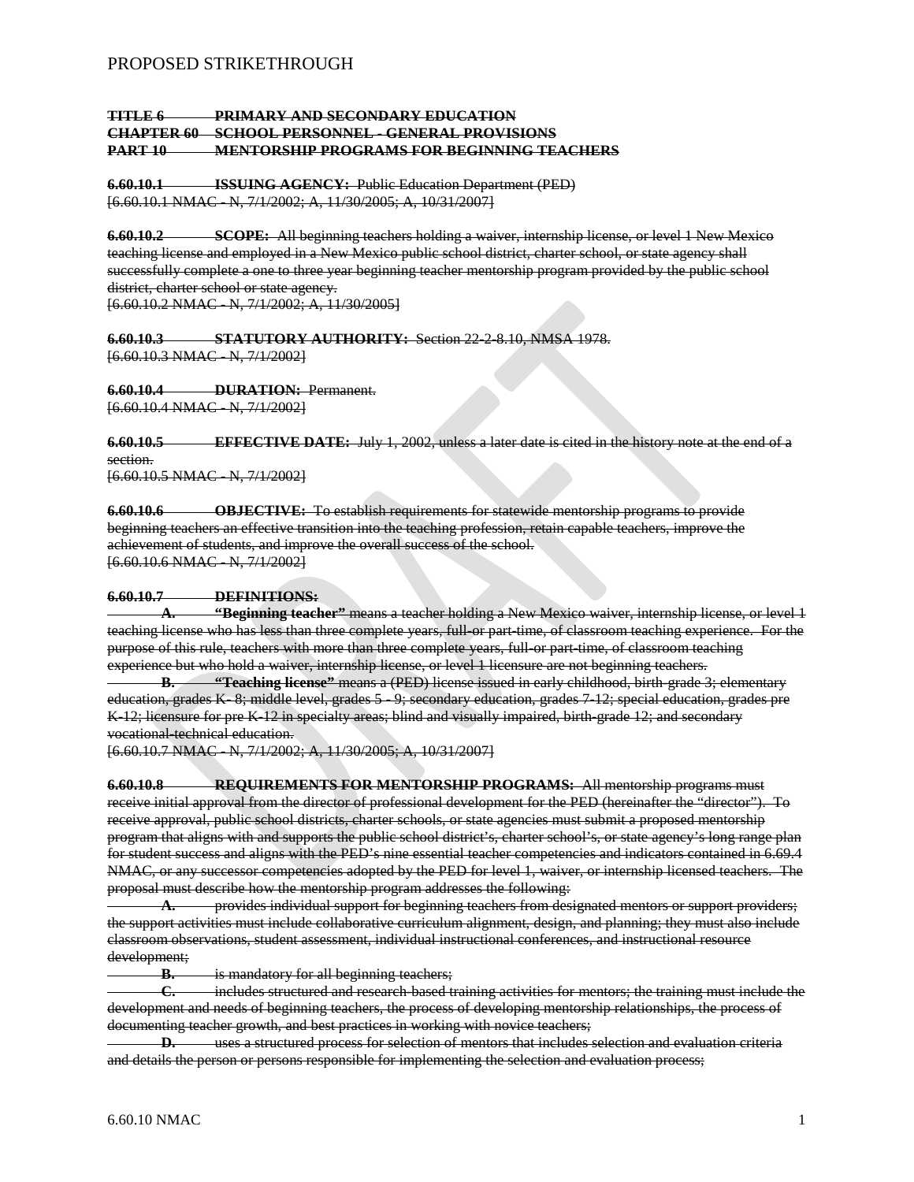# PROPOSED STRIKETHROUGH

## **TITLE 6 PRIMARY AND SECONDARY EDUCATION CHAPTER 60 SCHOOL PERSONNEL - GENERAL PROVISIONS PART 10 MENTORSHIP PROGRAMS FOR BEGINNING TEACHERS**

**6.60.10.1 ISSUING AGENCY:** Public Education Department (PED) [6.60.10.1 NMAC - N, 7/1/2002; A, 11/30/2005; A, 10/31/2007]

**6.60.10.2 SCOPE:** All beginning teachers holding a waiver, internship license, or level 1 New Mexico teaching license and employed in a New Mexico public school district, charter school, or state agency shall successfully complete a one to three year beginning teacher mentorship program provided by the public school district, charter school or state agency.

[6.60.10.2 NMAC - N, 7/1/2002; A, 11/30/2005]

**6.60.10.3 STATUTORY AUTHORITY:** Section 22-2-8.10, NMSA 1978. [6.60.10.3 NMAC - N, 7/1/2002]

**6.60.10.4 DURATION:** Permanent. [6.60.10.4 NMAC - N, 7/1/2002]

**6.60.10.5 EFFECTIVE DATE:** July 1, 2002, unless a later date is cited in the history note at the end of a section. [6.60.10.5 NMAC - N, 7/1/2002]

**6.60.10.6 OBJECTIVE:** To establish requirements for statewide mentorship programs to provide beginning teachers an effective transition into the teaching profession, retain capable teachers, improve the achievement of students, and improve the overall success of the school. [6.60.10.6 NMAC - N, 7/1/2002]

## **6.60.10.7 DEFINITIONS:**

**A. "Beginning teacher"** means a teacher holding a New Mexico waiver, internship license, or level 1 teaching license who has less than three complete years, full-or part-time, of classroom teaching experience. For the purpose of this rule, teachers with more than three complete years, full-or part-time, of classroom teaching experience but who hold a waiver, internship license, or level 1 licensure are not beginning teachers.

**B. "Teaching license"** means a (PED) license issued in early childhood, birth-grade 3; elementary education, grades K- 8; middle level, grades 5 - 9; secondary education, grades 7-12; special education, grades pre K-12; licensure for pre K-12 in specialty areas; blind and visually impaired, birth-grade 12; and secondary vocational technical education.

[6.60.10.7 NMAC - N, 7/1/2002; A, 11/30/2005; A, 10/31/2007]

**6.60.10.8 REQUIREMENTS FOR MENTORSHIP PROGRAMS:** All mentorship programs must receive initial approval from the director of professional development for the PED (hereinafter the "director"). To receive approval, public school districts, charter schools, or state agencies must submit a proposed mentorship program that aligns with and supports the public school district's, charter school's, or state agency's long range plan for student success and aligns with the PED's nine essential teacher competencies and indicators contained in 6.69.4 NMAC, or any successor competencies adopted by the PED for level 1, waiver, or internship licensed teachers. The proposal must describe how the mentorship program addresses the following:

**A.** provides individual support for beginning teachers from designated mentors or support providers; the support activities must include collaborative curriculum alignment, design, and planning; they must also include classroom observations, student assessment, individual instructional conferences, and instructional resource development;

**B.** is mandatory for all beginning teachers;

**C.** includes structured and research-based training activities for mentors; the training must include the development and needs of beginning teachers, the process of developing mentorship relationships, the process of documenting teacher growth, and best practices in working with novice teachers;

**D.** uses a structured process for selection of mentors that includes selection and evaluation criteria and details the person or persons responsible for implementing the selection and evaluation process;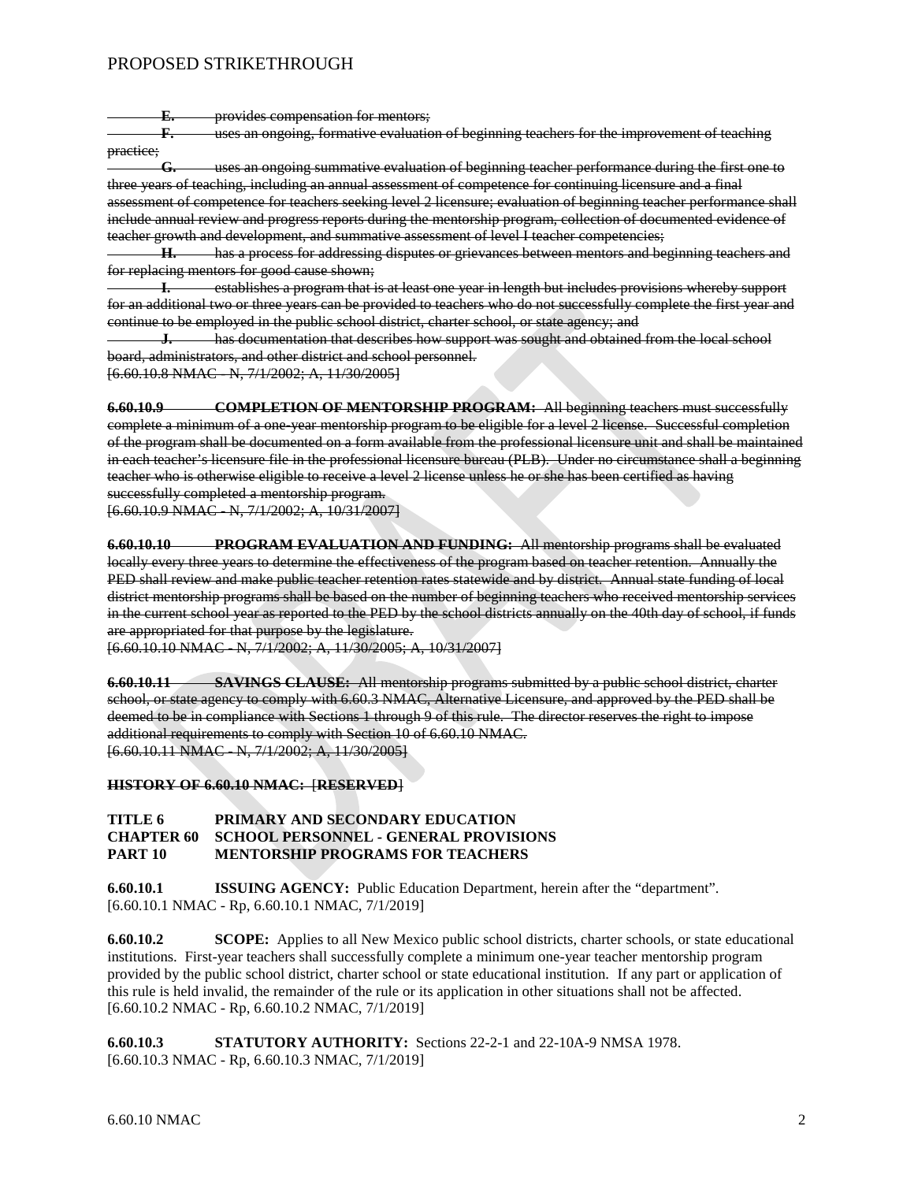# PROPOSED STRIKETHROUGH

**E.** provides compensation for mentors;

**F.** uses an ongoing, formative evaluation of beginning teachers for the improvement of teaching practice;

**G.** uses an ongoing summative evaluation of beginning teacher performance during the first one to three years of teaching, including an annual assessment of competence for continuing licensure and a final assessment of competence for teachers seeking level 2 licensure; evaluation of beginning teacher performance shall include annual review and progress reports during the mentorship program, collection of documented evidence of teacher growth and development, and summative assessment of level I teacher competencies;

**H.** has a process for addressing disputes or grievances between mentors and beginning teachers and for replacing mentors for good cause shown;

**I.** establishes a program that is at least one year in length but includes provisions whereby support for an additional two or three years can be provided to teachers who do not successfully complete the first year and continue to be employed in the public school district, charter school, or state agency; and

**J.** has documentation that describes how support was sought and obtained from the local school board, administrators, and other district and school personnel.

[6.60.10.8 NMAC - N, 7/1/2002; A, 11/30/2005]

**6.60.10.9 COMPLETION OF MENTORSHIP PROGRAM:** All beginning teachers must successfully complete a minimum of a one-year mentorship program to be eligible for a level 2 license. Successful completion of the program shall be documented on a form available from the professional licensure unit and shall be maintained in each teacher's licensure file in the professional licensure bureau (PLB). Under no circumstance shall a beginning teacher who is otherwise eligible to receive a level 2 license unless he or she has been certified as having successfully completed a mentorship program.

[6.60.10.9 NMAC - N, 7/1/2002; A, 10/31/2007]

**6.60.10.10 PROGRAM EVALUATION AND FUNDING:** All mentorship programs shall be evaluated locally every three years to determine the effectiveness of the program based on teacher retention. Annually the PED shall review and make public teacher retention rates statewide and by district. Annual state funding of local district mentorship programs shall be based on the number of beginning teachers who received mentorship services in the current school year as reported to the PED by the school districts annually on the 40th day of school, if funds are appropriated for that purpose by the legislature.

[6.60.10.10 NMAC - N, 7/1/2002; A, 11/30/2005; A, 10/31/2007]

**6.60.10.11 SAVINGS CLAUSE:** All mentorship programs submitted by a public school district, charter school, or state agency to comply with 6.60.3 NMAC, Alternative Licensure, and approved by the PED shall be deemed to be in compliance with Sections 1 through 9 of this rule. The director reserves the right to impose additional requirements to comply with Section 10 of 6.60.10 NMAC. [6.60.10.11 NMAC - N, 7/1/2002; A, 11/30/2005]

**HISTORY OF 6.60.10 NMAC:** [**RESERVED**]

### **TITLE 6 PRIMARY AND SECONDARY EDUCATION CHOOL PERSONNEL - GENERAL PROVISIONS PART 10 MENTORSHIP PROGRAMS FOR TEACHERS**

**6.60.10.1 ISSUING AGENCY:** Public Education Department, herein after the "department". [6.60.10.1 NMAC - Rp, 6.60.10.1 NMAC, 7/1/2019]

**6.60.10.2 SCOPE:** Applies to all New Mexico public school districts, charter schools, or state educational institutions. First-year teachers shall successfully complete a minimum one-year teacher mentorship program provided by the public school district, charter school or state educational institution. If any part or application of this rule is held invalid, the remainder of the rule or its application in other situations shall not be affected. [6.60.10.2 NMAC - Rp, 6.60.10.2 NMAC, 7/1/2019]

**6.60.10.3 STATUTORY AUTHORITY:** Sections 22-2-1 and 22-10A-9 NMSA 1978. [6.60.10.3 NMAC - Rp, 6.60.10.3 NMAC, 7/1/2019]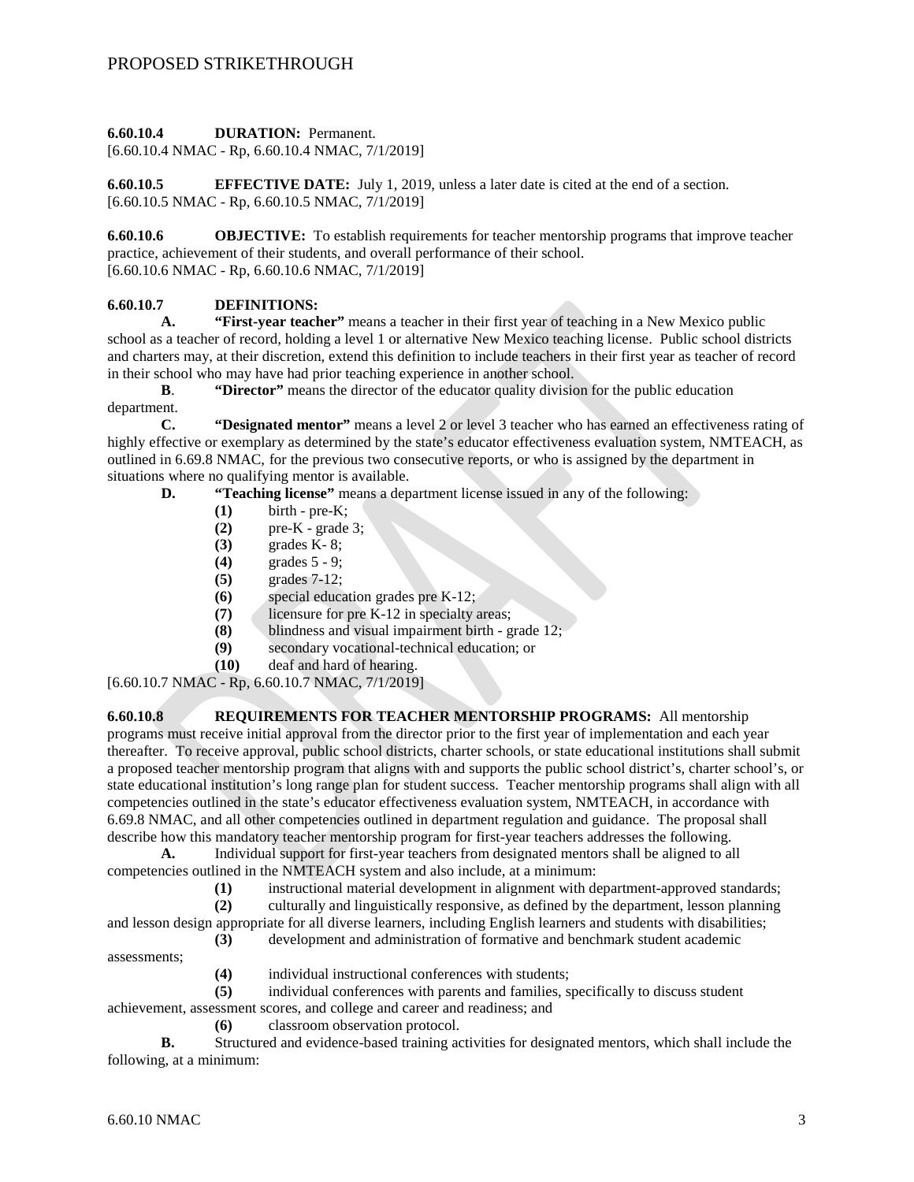#### **6.60.10.4 DURATION:** Permanent.

[6.60.10.4 NMAC - Rp, 6.60.10.4 NMAC, 7/1/2019]

**6.60.10.5 EFFECTIVE DATE:** July 1, 2019, unless a later date is cited at the end of a section. [6.60.10.5 NMAC - Rp, 6.60.10.5 NMAC, 7/1/2019]

**6.60.10.6 OBJECTIVE:** To establish requirements for teacher mentorship programs that improve teacher practice, achievement of their students, and overall performance of their school.  $[6.60.10.6 \text{ NMAC} - \text{Rp}, 6.60.10.6 \text{ NMAC}, 7/1/2019]$ 

# **6.60.10.7 DEFINITIONS:**

**A. "First-year teacher"** means a teacher in their first year of teaching in a New Mexico public school as a teacher of record, holding a level 1 or alternative New Mexico teaching license. Public school districts and charters may, at their discretion, extend this definition to include teachers in their first year as teacher of record in their school who may have had prior teaching experience in another school.

**B**. **"Director"** means the director of the educator quality division for the public education department.

**C. "Designated mentor"** means a level 2 or level 3 teacher who has earned an effectiveness rating of highly effective or exemplary as determined by the state's educator effectiveness evaluation system, NMTEACH, as outlined in 6.69.8 NMAC, for the previous two consecutive reports, or who is assigned by the department in situations where no qualifying mentor is available.

**D. "Teaching license"** means a department license issued in any of the following:

- **(1)** birth pre-K;
- **(2)** pre-K grade 3;
- **(3)** grades K- 8;
- **(4)** grades 5 9;
- **(5)** grades 7-12;
- **(6)** special education grades pre K-12;
- **(7)** licensure for pre K-12 in specialty areas;
- **(8)** blindness and visual impairment birth grade 12;<br>**(9)** secondary vocational-technical education; or
- **(9)** secondary vocational-technical education; or
- **(10)** deaf and hard of hearing.

[6.60.10.7 NMAC - Rp, 6.60.10.7 NMAC, 7/1/2019]

**6.60.10.8 REQUIREMENTS FOR TEACHER MENTORSHIP PROGRAMS:** All mentorship programs must receive initial approval from the director prior to the first year of implementation and each year thereafter. To receive approval, public school districts, charter schools, or state educational institutions shall submit a proposed teacher mentorship program that aligns with and supports the public school district's, charter school's, or state educational institution's long range plan for student success. Teacher mentorship programs shall align with all competencies outlined in the state's educator effectiveness evaluation system, NMTEACH, in accordance with 6.69.8 NMAC, and all other competencies outlined in department regulation and guidance. The proposal shall describe how this mandatory teacher mentorship program for first-year teachers addresses the following.

**A.** Individual support for first-year teachers from designated mentors shall be aligned to all competencies outlined in the NMTEACH system and also include, at a minimum:

(1) instructional material development in alignment with department-approved standards;<br>(2) culturally and linguistically responsive, as defined by the department, lesson planning

**(2)** culturally and linguistically responsive, as defined by the department, lesson planning and lesson design appropriate for all diverse learners, including English learners and students with disabilities;

**(3)** development and administration of formative and benchmark student academic

assessments;

**(4)** individual instructional conferences with students;

**(5)** individual conferences with parents and families, specifically to discuss student achievement, assessment scores, and college and career and readiness; and

**(6)** classroom observation protocol.

**B.** Structured and evidence-based training activities for designated mentors, which shall include the following, at a minimum: